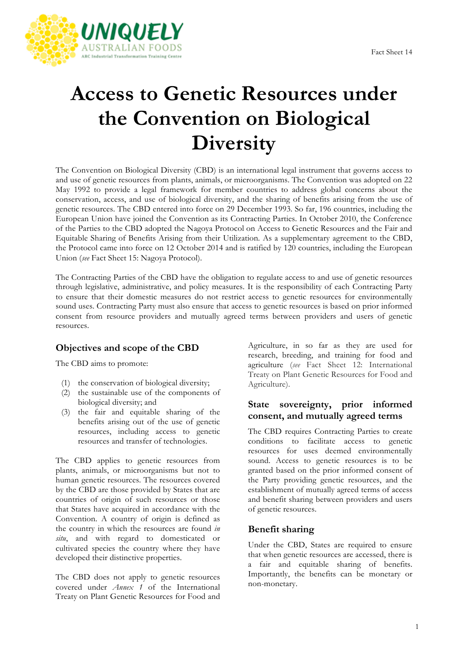

# **Access to Genetic Resources under the Convention on Biological Diversity**

The Convention on Biological Diversity (CBD) is an international legal instrument that governs access to and use of genetic resources from plants, animals, or microorganisms. The Convention was adopted on 22 May 1992 to provide a legal framework for member countries to address global concerns about the conservation, access, and use of biological diversity, and the sharing of benefits arising from the use of genetic resources. The CBD entered into force on 29 December 1993. So far, 196 countries, including the European Union have joined the Convention as its Contracting Parties. In October 2010, the Conference of the Parties to the CBD adopted the Nagoya Protocol on Access to Genetic Resources and the Fair and Equitable Sharing of Benefits Arising from their Utilization*.* As a supplementary agreement to the CBD, the Protocol came into force on 12 October 2014 and is ratified by 120 countries, including the European Union (*see* Fact Sheet 15: Nagoya Protocol).

The Contracting Parties of the CBD have the obligation to regulate access to and use of genetic resources through legislative, administrative, and policy measures. It is the responsibility of each Contracting Party to ensure that their domestic measures do not restrict access to genetic resources for environmentally sound uses. Contracting Party must also ensure that access to genetic resources is based on prior informed consent from resource providers and mutually agreed terms between providers and users of genetic resources.

## **Objectives and scope of the CBD**

The CBD aims to promote:

- (1) the conservation of biological diversity;
- (2) the sustainable use of the components of biological diversity; and
- (3) the fair and equitable sharing of the benefits arising out of the use of genetic resources, including access to genetic resources and transfer of technologies.

The CBD applies to genetic resources from plants, animals, or microorganisms but not to human genetic resources. The resources covered by the CBD are those provided by States that are countries of origin of such resources or those that States have acquired in accordance with the Convention. A country of origin is defined as the country in which the resources are found *in situ*, and with regard to domesticated or cultivated species the country where they have developed their distinctive properties.

The CBD does not apply to genetic resources covered under *Annex 1* of the International Treaty on Plant Genetic Resources for Food and

Agriculture, in so far as they are used for research, breeding, and training for food and agriculture (*see* Fact Sheet 12: International Treaty on Plant Genetic Resources for Food and Agriculture).

#### **State sovereignty, prior informed consent, and mutually agreed terms**

The CBD requires Contracting Parties to create conditions to facilitate access to genetic resources for uses deemed environmentally sound. Access to genetic resources is to be granted based on the prior informed consent of the Party providing genetic resources, and the establishment of mutually agreed terms of access and benefit sharing between providers and users of genetic resources.

## **Benefit sharing**

Under the CBD, States are required to ensure that when genetic resources are accessed, there is a fair and equitable sharing of benefits. Importantly, the benefits can be monetary or non-monetary.